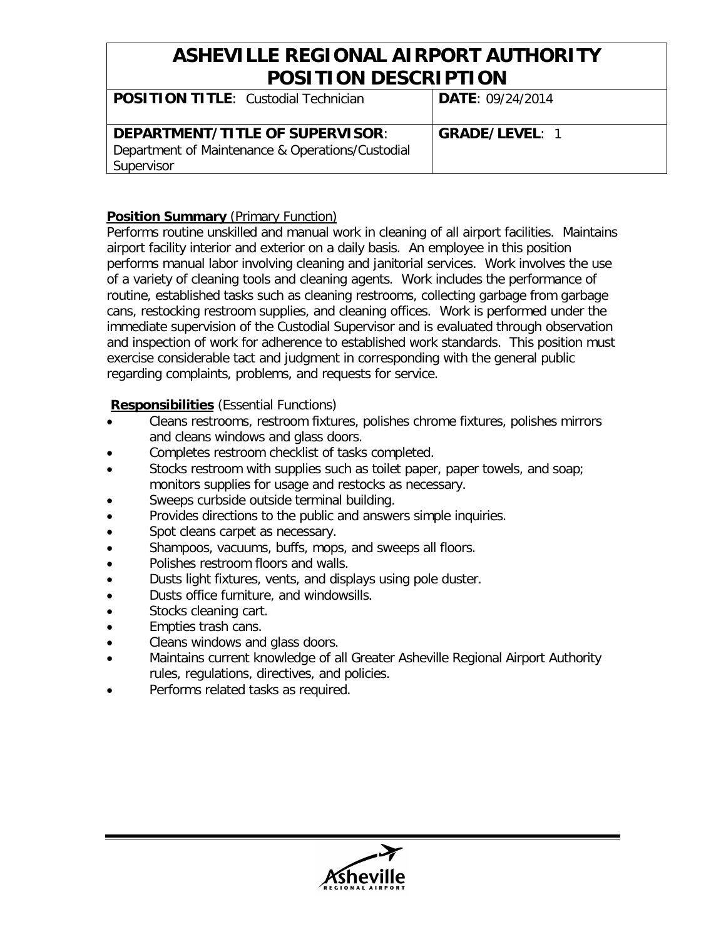## **ASHEVILLE REGIONAL AIRPORT AUTHORITY POSITION DESCRIPTION**

| <b>POSITION TITLE: Custodial Technician</b>                                                       | <b>DATE: 09/24/2014</b> |
|---------------------------------------------------------------------------------------------------|-------------------------|
| DEPARTMENT/TITLE OF SUPERVISOR:<br>Department of Maintenance & Operations/Custodial<br>Supervisor | <b>GRADE/LEVEL: 1</b>   |

#### **Position Summary** (Primary Function)

Performs routine unskilled and manual work in cleaning of all airport facilities. Maintains airport facility interior and exterior on a daily basis. An employee in this position performs manual labor involving cleaning and janitorial services. Work involves the use of a variety of cleaning tools and cleaning agents. Work includes the performance of routine, established tasks such as cleaning restrooms, collecting garbage from garbage cans, restocking restroom supplies, and cleaning offices. Work is performed under the immediate supervision of the Custodial Supervisor and is evaluated through observation and inspection of work for adherence to established work standards. This position must exercise considerable tact and judgment in corresponding with the general public regarding complaints, problems, and requests for service.

#### **Responsibilities** (Essential Functions)

- Cleans restrooms, restroom fixtures, polishes chrome fixtures, polishes mirrors and cleans windows and glass doors.
- Completes restroom checklist of tasks completed.
- Stocks restroom with supplies such as toilet paper, paper towels, and soap; monitors supplies for usage and restocks as necessary.
- Sweeps curbside outside terminal building.
- Provides directions to the public and answers simple inquiries.
- Spot cleans carpet as necessary.
- Shampoos, vacuums, buffs, mops, and sweeps all floors.
- Polishes restroom floors and walls.
- Dusts light fixtures, vents, and displays using pole duster.
- Dusts office furniture, and windowsills.
- Stocks cleaning cart.
- Empties trash cans.
- Cleans windows and glass doors.
- Maintains current knowledge of all Greater Asheville Regional Airport Authority rules, regulations, directives, and policies.
- Performs related tasks as required.

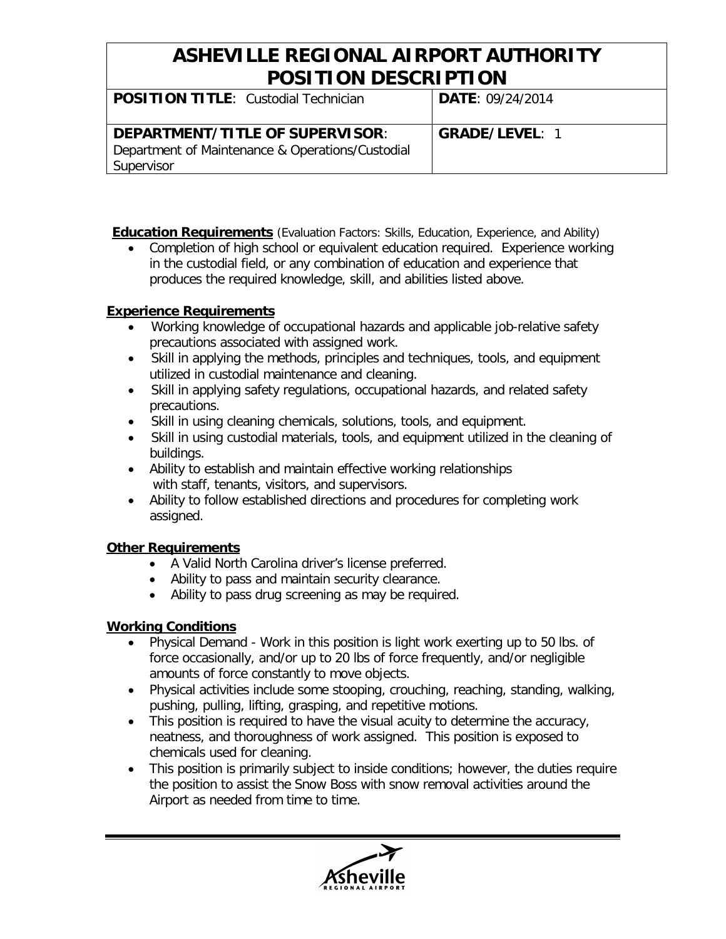## **ASHEVILLE REGIONAL AIRPORT AUTHORITY POSITION DESCRIPTION**

| <b>POSITION TITLE: Custodial Technician</b>                                                       | <b>DATE: 09/24/2014</b> |
|---------------------------------------------------------------------------------------------------|-------------------------|
| DEPARTMENT/TITLE OF SUPERVISOR:<br>Department of Maintenance & Operations/Custodial<br>Supervisor | <b>GRADE/LEVEL: 1</b>   |

**Education Requirements** (Evaluation Factors: Skills, Education, Experience, and Ability)

• Completion of high school or equivalent education required. Experience working in the custodial field, or any combination of education and experience that produces the required knowledge, skill, and abilities listed above.

### **Experience Requirements**

- Working knowledge of occupational hazards and applicable job-relative safety precautions associated with assigned work.
- Skill in applying the methods, principles and techniques, tools, and equipment utilized in custodial maintenance and cleaning.
- Skill in applying safety regulations, occupational hazards, and related safety precautions.
- Skill in using cleaning chemicals, solutions, tools, and equipment.
- Skill in using custodial materials, tools, and equipment utilized in the cleaning of buildings.
- Ability to establish and maintain effective working relationships with staff, tenants, visitors, and supervisors.
- Ability to follow established directions and procedures for completing work assigned.

### **Other Requirements**

- A Valid North Carolina driver's license preferred.
- Ability to pass and maintain security clearance.
- Ability to pass drug screening as may be required.

### **Working Conditions**

- Physical Demand Work in this position is light work exerting up to 50 lbs. of force occasionally, and/or up to 20 lbs of force frequently, and/or negligible amounts of force constantly to move objects.
- Physical activities include some stooping, crouching, reaching, standing, walking, pushing, pulling, lifting, grasping, and repetitive motions.
- This position is required to have the visual acuity to determine the accuracy, neatness, and thoroughness of work assigned. This position is exposed to chemicals used for cleaning.
- This position is primarily subject to inside conditions; however, the duties require the position to assist the Snow Boss with snow removal activities around the Airport as needed from time to time.